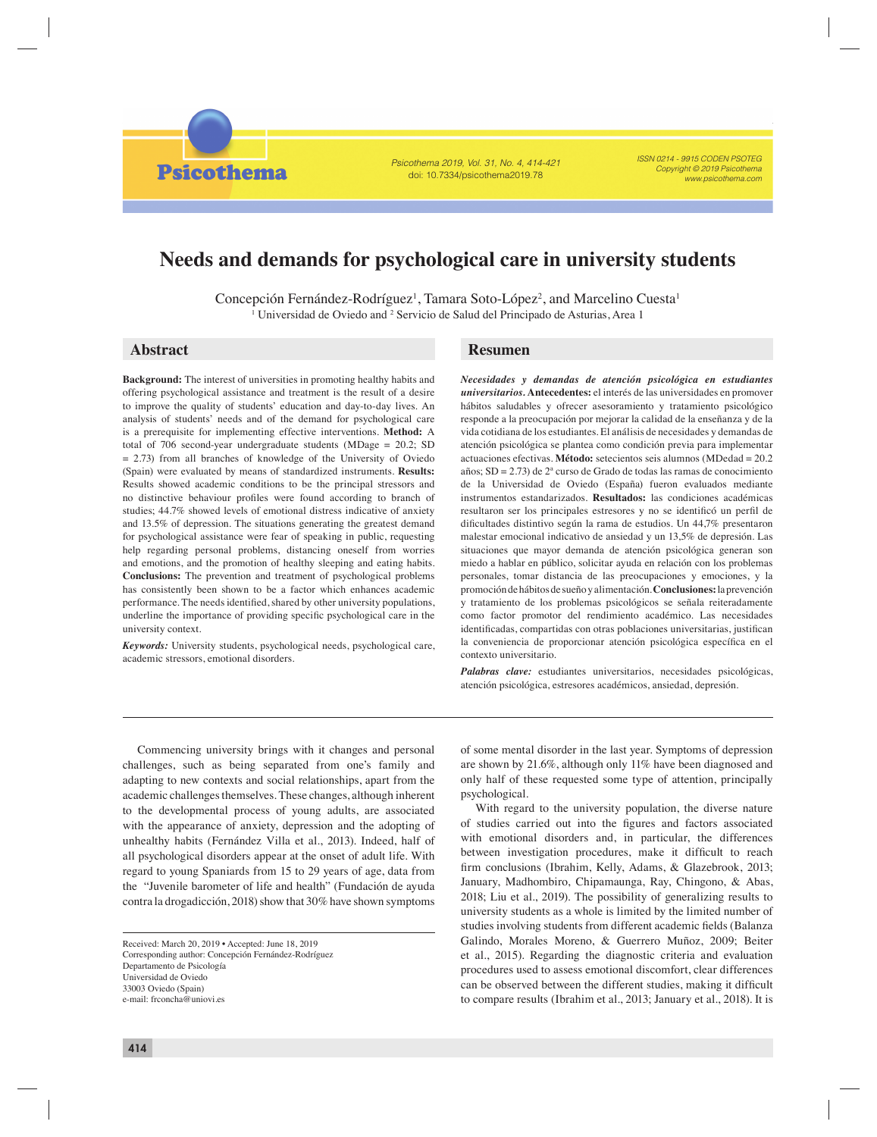Psicothema 2019, Vol. 31, No. 4, 414-421 doi: 10.7334/psicothema2019.78

ISSN 0214 - 9915 CODEN PSOTEG Copyright © 2019 Psicothema www.psicothema.com

# **Needs and demands for psychological care in university students**

Concepción Fernández-Rodríguez<sup>1</sup>, Tamara Soto-López<sup>2</sup>, and Marcelino Cuesta<sup>1</sup> <sup>1</sup> Universidad de Oviedo and <sup>2</sup> Servicio de Salud del Principado de Asturias, Area 1

**Psicothema** 

**Background:** The interest of universities in promoting healthy habits and offering psychological assistance and treatment is the result of a desire to improve the quality of students' education and day-to-day lives. An analysis of students' needs and of the demand for psychological care is a prerequisite for implementing effective interventions. **Method:** A total of 706 second-year undergraduate students (MDage = 20.2; SD = 2.73) from all branches of knowledge of the University of Oviedo (Spain) were evaluated by means of standardized instruments. **Results:** Results showed academic conditions to be the principal stressors and no distinctive behaviour profiles were found according to branch of studies; 44.7% showed levels of emotional distress indicative of anxiety and 13.5% of depression. The situations generating the greatest demand for psychological assistance were fear of speaking in public, requesting help regarding personal problems, distancing oneself from worries and emotions, and the promotion of healthy sleeping and eating habits. **Conclusions:** The prevention and treatment of psychological problems has consistently been shown to be a factor which enhances academic performance. The needs identified, shared by other university populations, underline the importance of providing specific psychological care in the university context.

*Keywords:* University students, psychological needs, psychological care, academic stressors, emotional disorders.

# **Abstract Resumen**

*Necesidades y demandas de atención psicológica en estudiantes universitarios.* **Antecedentes:** el interés de las universidades en promover hábitos saludables y ofrecer asesoramiento y tratamiento psicológico responde a la preocupación por mejorar la calidad de la enseñanza y de la vida cotidiana de los estudiantes. El análisis de necesidades y demandas de atención psicológica se plantea como condición previa para implementar actuaciones efectivas. **Método:** setecientos seis alumnos (MDedad = 20.2 años; SD = 2.73) de 2ª curso de Grado de todas las ramas de conocimiento de la Universidad de Oviedo (España) fueron evaluados mediante instrumentos estandarizados. **Resultados:** las condiciones académicas resultaron ser los principales estresores y no se identificó un perfil de dificultades distintivo según la rama de estudios. Un 44,7% presentaron malestar emocional indicativo de ansiedad y un 13,5% de depresión. Las situaciones que mayor demanda de atención psicológica generan son miedo a hablar en público, solicitar ayuda en relación con los problemas personales, tomar distancia de las preocupaciones y emociones, y la promoción de hábitos de sueño y alimentación. **Conclusiones:** la prevención y tratamiento de los problemas psicológicos se señala reiteradamente como factor promotor del rendimiento académico. Las necesidades identificadas, compartidas con otras poblaciones universitarias, justifican la conveniencia de proporcionar atención psicológica específica en el contexto universitario.

*Palabras clave:* estudiantes universitarios, necesidades psicológicas, atención psicológica, estresores académicos, ansiedad, depresión.

Commencing university brings with it changes and personal challenges, such as being separated from one's family and adapting to new contexts and social relationships, apart from the academic challenges themselves. These changes, although inherent to the developmental process of young adults, are associated with the appearance of anxiety, depression and the adopting of unhealthy habits (Fernández Villa et al., 2013). Indeed, half of all psychological disorders appear at the onset of adult life. With regard to young Spaniards from 15 to 29 years of age, data from the "Juvenile barometer of life and health" (Fundación de ayuda contra la drogadicción, 2018) show that 30% have shown symptoms

Received: March 20, 2019 • Accepted: June 18, 2019 Corresponding author: Concepción Fernández-Rodríguez Departamento de Psicología Universidad de Oviedo 33003 Oviedo (Spain) e-mail: frconcha@uniovi.es

of some mental disorder in the last year. Symptoms of depression are shown by 21.6%, although only 11% have been diagnosed and only half of these requested some type of attention, principally psychological.

With regard to the university population, the diverse nature of studies carried out into the figures and factors associated with emotional disorders and, in particular, the differences between investigation procedures, make it difficult to reach firm conclusions (Ibrahim, Kelly, Adams, & Glazebrook, 2013; January, Madhombiro, Chipamaunga, Ray, Chingono, & Abas, 2018; Liu et al., 2019). The possibility of generalizing results to university students as a whole is limited by the limited number of studies involving students from different academic fields (Balanza Galindo, Morales Moreno, & Guerrero Muñoz, 2009; Beiter et al., 2015). Regarding the diagnostic criteria and evaluation procedures used to assess emotional discomfort, clear differences can be observed between the different studies, making it difficult to compare results (Ibrahim et al., 2013; January et al., 2018). It is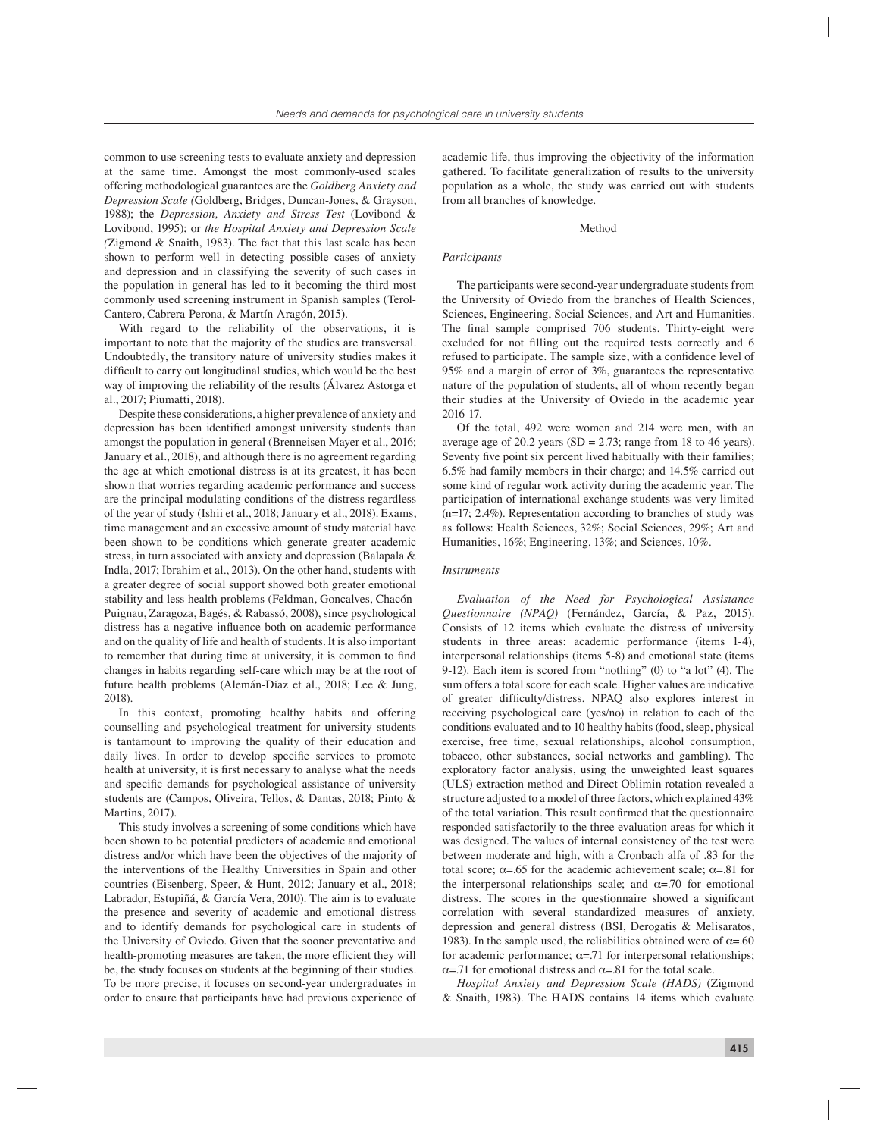common to use screening tests to evaluate anxiety and depression at the same time. Amongst the most commonly-used scales offering methodological guarantees are the *Goldberg Anxiety and Depression Scale (*Goldberg, Bridges, Duncan-Jones, & Grayson, 1988); the *Depression, Anxiety and Stress Test* (Lovibond & Lovibond, 1995); or *the Hospital Anxiety and Depression Scale (*Zigmond & Snaith, 1983). The fact that this last scale has been shown to perform well in detecting possible cases of anxiety and depression and in classifying the severity of such cases in the population in general has led to it becoming the third most commonly used screening instrument in Spanish samples (Terol-Cantero, Cabrera-Perona, & Martín-Aragón, 2015).

With regard to the reliability of the observations, it is important to note that the majority of the studies are transversal. Undoubtedly, the transitory nature of university studies makes it difficult to carry out longitudinal studies, which would be the best way of improving the reliability of the results (Álvarez Astorga et al., 2017; Piumatti, 2018).

Despite these considerations, a higher prevalence of anxiety and depression has been identified amongst university students than amongst the population in general (Brenneisen Mayer et al., 2016; January et al., 2018), and although there is no agreement regarding the age at which emotional distress is at its greatest, it has been shown that worries regarding academic performance and success are the principal modulating conditions of the distress regardless of the year of study (Ishii et al., 2018; January et al., 2018). Exams, time management and an excessive amount of study material have been shown to be conditions which generate greater academic stress, in turn associated with anxiety and depression (Balapala & Indla, 2017; Ibrahim et al., 2013). On the other hand, students with a greater degree of social support showed both greater emotional stability and less health problems (Feldman, Goncalves, Chacón-Puignau, Zaragoza, Bagés, & Rabassó, 2008), since psychological distress has a negative influence both on academic performance and on the quality of life and health of students. It is also important to remember that during time at university, it is common to find changes in habits regarding self-care which may be at the root of future health problems (Alemán-Díaz et al., 2018; Lee & Jung, 2018).

In this context, promoting healthy habits and offering counselling and psychological treatment for university students is tantamount to improving the quality of their education and daily lives. In order to develop specific services to promote health at university, it is first necessary to analyse what the needs and specific demands for psychological assistance of university students are (Campos, Oliveira, Tellos, & Dantas, 2018; Pinto & Martins, 2017).

This study involves a screening of some conditions which have been shown to be potential predictors of academic and emotional distress and/or which have been the objectives of the majority of the interventions of the Healthy Universities in Spain and other countries (Eisenberg, Speer, & Hunt, 2012; January et al., 2018; Labrador, Estupiñá, & García Vera, 2010). The aim is to evaluate the presence and severity of academic and emotional distress and to identify demands for psychological care in students of the University of Oviedo. Given that the sooner preventative and health-promoting measures are taken, the more efficient they will be, the study focuses on students at the beginning of their studies. To be more precise, it focuses on second-year undergraduates in order to ensure that participants have had previous experience of academic life, thus improving the objectivity of the information gathered. To facilitate generalization of results to the university population as a whole, the study was carried out with students from all branches of knowledge.

#### Method

# *Participants*

The participants were second-year undergraduate students from the University of Oviedo from the branches of Health Sciences, Sciences, Engineering, Social Sciences, and Art and Humanities. The final sample comprised 706 students. Thirty-eight were excluded for not filling out the required tests correctly and 6 refused to participate. The sample size, with a confidence level of 95% and a margin of error of 3%, guarantees the representative nature of the population of students, all of whom recently began their studies at the University of Oviedo in the academic year 2016-17.

Of the total, 492 were women and 214 were men, with an average age of 20.2 years (SD =  $2.73$ ; range from 18 to 46 years). Seventy five point six percent lived habitually with their families; 6.5% had family members in their charge; and 14.5% carried out some kind of regular work activity during the academic year. The participation of international exchange students was very limited (n=17; 2.4%). Representation according to branches of study was as follows: Health Sciences, 32%; Social Sciences, 29%; Art and Humanities, 16%; Engineering, 13%; and Sciences, 10%.

## *Instruments*

*Evaluation of the Need for Psychological Assistance Questionnaire (NPAQ)* (Fernández, García, & Paz, 2015). Consists of 12 items which evaluate the distress of university students in three areas: academic performance (items 1-4), interpersonal relationships (items 5-8) and emotional state (items 9-12). Each item is scored from "nothing" (0) to "a lot" (4). The sum offers a total score for each scale. Higher values are indicative of greater difficulty/distress. NPAQ also explores interest in receiving psychological care (yes/no) in relation to each of the conditions evaluated and to 10 healthy habits (food, sleep, physical exercise, free time, sexual relationships, alcohol consumption, tobacco, other substances, social networks and gambling). The exploratory factor analysis, using the unweighted least squares (ULS) extraction method and Direct Oblimin rotation revealed a structure adjusted to a model of three factors, which explained 43% of the total variation. This result confirmed that the questionnaire responded satisfactorily to the three evaluation areas for which it was designed. The values of internal consistency of the test were between moderate and high, with a Cronbach alfa of .83 for the total score;  $\alpha = .65$  for the academic achievement scale;  $\alpha = .81$  for the interpersonal relationships scale; and  $\alpha = 70$  for emotional distress. The scores in the questionnaire showed a significant correlation with several standardized measures of anxiety, depression and general distress (BSI, Derogatis & Melisaratos, 1983). In the sample used, the reliabilities obtained were of  $\alpha = .60$ for academic performance;  $\alpha = 71$  for interpersonal relationships; α=.71 for emotional distress and α=.81 for the total scale.

*Hospital Anxiety and Depression Scale (HADS)* (Zigmond & Snaith, 1983). The HADS contains 14 items which evaluate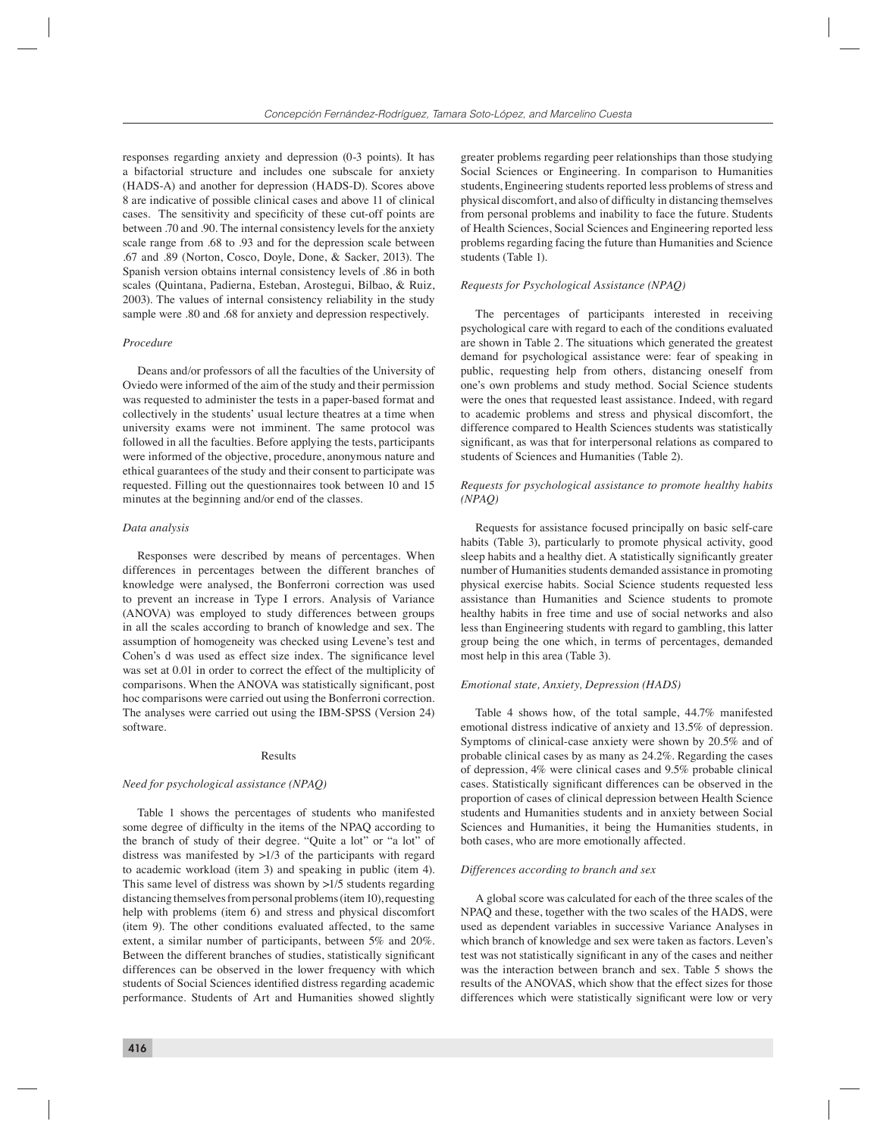responses regarding anxiety and depression (0-3 points). It has a bifactorial structure and includes one subscale for anxiety (HADS-A) and another for depression (HADS-D). Scores above 8 are indicative of possible clinical cases and above 11 of clinical cases. The sensitivity and specificity of these cut-off points are between .70 and .90. The internal consistency levels for the anxiety scale range from .68 to .93 and for the depression scale between .67 and .89 (Norton, Cosco, Doyle, Done, & Sacker, 2013). The Spanish version obtains internal consistency levels of .86 in both scales (Quintana, Padierna, Esteban, Arostegui, Bilbao, & Ruiz, 2003). The values of internal consistency reliability in the study sample were .80 and .68 for anxiety and depression respectively.

#### *Procedure*

Deans and/or professors of all the faculties of the University of Oviedo were informed of the aim of the study and their permission was requested to administer the tests in a paper-based format and collectively in the students' usual lecture theatres at a time when university exams were not imminent. The same protocol was followed in all the faculties. Before applying the tests, participants were informed of the objective, procedure, anonymous nature and ethical guarantees of the study and their consent to participate was requested. Filling out the questionnaires took between 10 and 15 minutes at the beginning and/or end of the classes.

#### *Data analysis*

Responses were described by means of percentages. When differences in percentages between the different branches of knowledge were analysed, the Bonferroni correction was used to prevent an increase in Type I errors. Analysis of Variance (ANOVA) was employed to study differences between groups in all the scales according to branch of knowledge and sex. The assumption of homogeneity was checked using Levene's test and Cohen's d was used as effect size index. The significance level was set at 0.01 in order to correct the effect of the multiplicity of comparisons. When the ANOVA was statistically significant, post hoc comparisons were carried out using the Bonferroni correction. The analyses were carried out using the IBM-SPSS (Version 24) software.

#### Results

# *Need for psychological assistance (NPAQ)*

Table 1 shows the percentages of students who manifested some degree of difficulty in the items of the NPAQ according to the branch of study of their degree. "Quite a lot" or "a lot" of distress was manifested by >1/3 of the participants with regard to academic workload (item 3) and speaking in public (item 4). This same level of distress was shown by >1/5 students regarding distancing themselves from personal problems (item 10), requesting help with problems (item 6) and stress and physical discomfort (item 9). The other conditions evaluated affected, to the same extent, a similar number of participants, between 5% and 20%. Between the different branches of studies, statistically significant differences can be observed in the lower frequency with which students of Social Sciences identified distress regarding academic performance. Students of Art and Humanities showed slightly

greater problems regarding peer relationships than those studying Social Sciences or Engineering. In comparison to Humanities students, Engineering students reported less problems of stress and physical discomfort, and also of difficulty in distancing themselves from personal problems and inability to face the future. Students of Health Sciences, Social Sciences and Engineering reported less problems regarding facing the future than Humanities and Science students (Table 1).

## *Requests for Psychological Assistance (NPAQ)*

The percentages of participants interested in receiving psychological care with regard to each of the conditions evaluated are shown in Table 2. The situations which generated the greatest demand for psychological assistance were: fear of speaking in public, requesting help from others, distancing oneself from one's own problems and study method. Social Science students were the ones that requested least assistance. Indeed, with regard to academic problems and stress and physical discomfort, the difference compared to Health Sciences students was statistically significant, as was that for interpersonal relations as compared to students of Sciences and Humanities (Table 2).

# *Requests for psychological assistance to promote healthy habits (NPAQ)*

Requests for assistance focused principally on basic self-care habits (Table 3), particularly to promote physical activity, good sleep habits and a healthy diet. A statistically significantly greater number of Humanities students demanded assistance in promoting physical exercise habits. Social Science students requested less assistance than Humanities and Science students to promote healthy habits in free time and use of social networks and also less than Engineering students with regard to gambling, this latter group being the one which, in terms of percentages, demanded most help in this area (Table 3).

#### *Emotional state, Anxiety, Depression (HADS)*

Table 4 shows how, of the total sample, 44.7% manifested emotional distress indicative of anxiety and 13.5% of depression. Symptoms of clinical-case anxiety were shown by 20.5% and of probable clinical cases by as many as 24.2%. Regarding the cases of depression, 4% were clinical cases and 9.5% probable clinical cases. Statistically significant differences can be observed in the proportion of cases of clinical depression between Health Science students and Humanities students and in anxiety between Social Sciences and Humanities, it being the Humanities students, in both cases, who are more emotionally affected.

#### *Differences according to branch and sex*

A global score was calculated for each of the three scales of the NPAQ and these, together with the two scales of the HADS, were used as dependent variables in successive Variance Analyses in which branch of knowledge and sex were taken as factors. Leven's test was not statistically significant in any of the cases and neither was the interaction between branch and sex. Table 5 shows the results of the ANOVAS, which show that the effect sizes for those differences which were statistically significant were low or very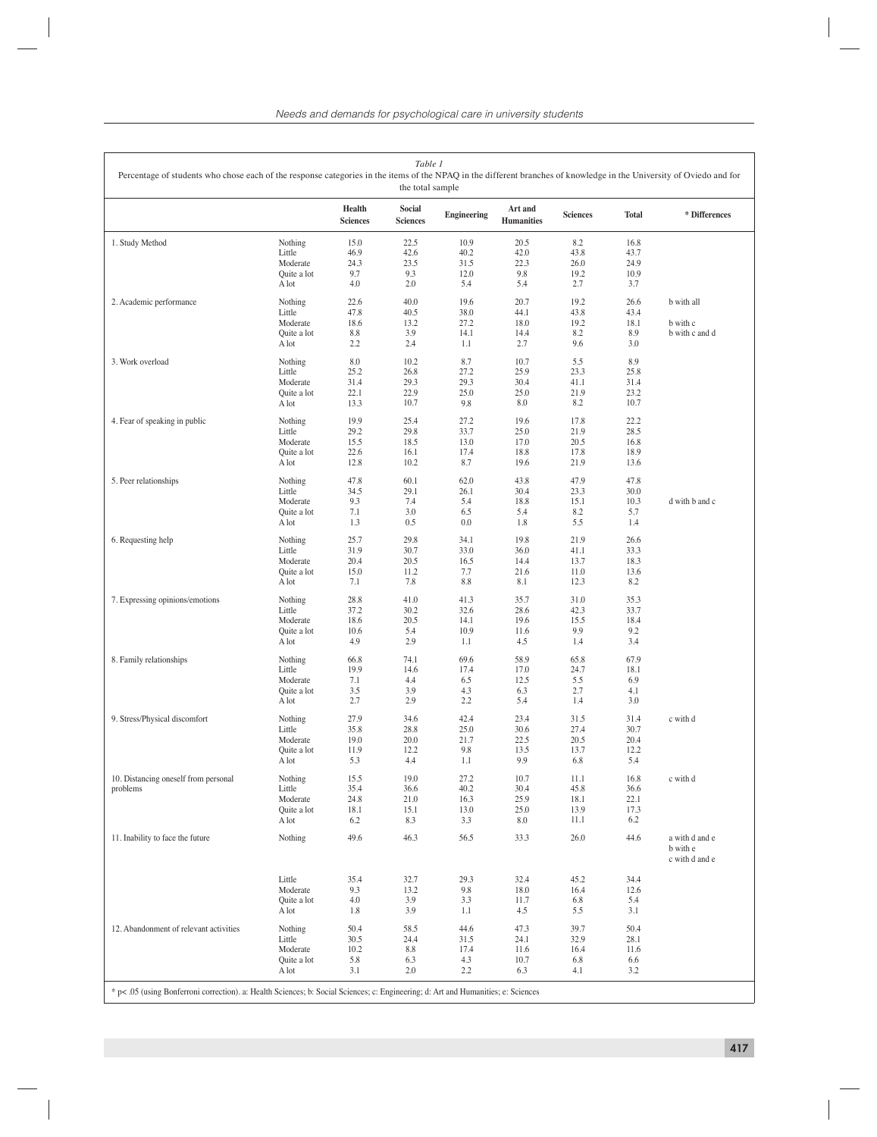| Table 1<br>Percentage of students who chose each of the response categories in the items of the NPAQ in the different branches of knowledge in the University of Oviedo and for<br>the total sample |                                                                                                                                    |                                      |                                      |                                     |                                      |                                      |                                      |                                              |  |  |  |
|-----------------------------------------------------------------------------------------------------------------------------------------------------------------------------------------------------|------------------------------------------------------------------------------------------------------------------------------------|--------------------------------------|--------------------------------------|-------------------------------------|--------------------------------------|--------------------------------------|--------------------------------------|----------------------------------------------|--|--|--|
|                                                                                                                                                                                                     |                                                                                                                                    | <b>Health</b><br><b>Sciences</b>     | Social<br><b>Sciences</b>            | <b>Engineering</b>                  | Art and<br><b>Humanities</b>         | <b>Sciences</b>                      | <b>Total</b>                         | * Differences                                |  |  |  |
| 1. Study Method                                                                                                                                                                                     | Nothing<br>Little<br>Moderate<br>Quite a lot<br>A lot                                                                              | 15.0<br>46.9<br>24.3<br>9.7<br>4.0   | 22.5<br>42.6<br>23.5<br>9.3<br>2.0   | 10.9<br>40.2<br>31.5<br>12.0<br>5.4 | 20.5<br>42.0<br>22.3<br>9.8<br>5.4   | 8.2<br>43.8<br>26.0<br>19.2<br>2.7   | 16.8<br>43.7<br>24.9<br>10.9<br>3.7  |                                              |  |  |  |
| 2. Academic performance                                                                                                                                                                             | Nothing<br>Little<br>Moderate<br>Quite a lot<br>A lot                                                                              | 22.6<br>47.8<br>18.6<br>8.8<br>2.2   | 40.0<br>40.5<br>13.2<br>3.9<br>2.4   | 19.6<br>38.0<br>27.2<br>14.1<br>1.1 | 20.7<br>44.1<br>18.0<br>14.4<br>2.7  | 19.2<br>43.8<br>19.2<br>8.2<br>9.6   | 26.6<br>43.4<br>18.1<br>8.9<br>3.0   | b with all<br>b with c<br>b with c and d     |  |  |  |
| 3. Work overload                                                                                                                                                                                    | Nothing<br>Little<br>Moderate<br>Quite a lot<br>A lot                                                                              | 8.0<br>25.2<br>31.4<br>22.1<br>13.3  | 10.2<br>26.8<br>29.3<br>22.9<br>10.7 | 8.7<br>27.2<br>29.3<br>25.0<br>9.8  | 10.7<br>25.9<br>30.4<br>25.0<br>8.0  | 5.5<br>23.3<br>41.1<br>21.9<br>8.2   | 8.9<br>25.8<br>31.4<br>23.2<br>10.7  |                                              |  |  |  |
| 4. Fear of speaking in public                                                                                                                                                                       | Nothing<br>Little<br>Moderate<br>Quite a lot<br>A lot                                                                              | 19.9<br>29.2<br>15.5<br>22.6<br>12.8 | 25.4<br>29.8<br>18.5<br>16.1<br>10.2 | 27.2<br>33.7<br>13.0<br>17.4<br>8.7 | 19.6<br>25.0<br>17.0<br>18.8<br>19.6 | 17.8<br>21.9<br>20.5<br>17.8<br>21.9 | 22.2<br>28.5<br>16.8<br>18.9<br>13.6 |                                              |  |  |  |
| 5. Peer relationships                                                                                                                                                                               | Nothing<br>Little<br>Moderate<br>Quite a lot<br>A lot                                                                              | 47.8<br>34.5<br>9.3<br>7.1<br>1.3    | 60.1<br>29.1<br>7.4<br>3.0<br>0.5    | 62.0<br>26.1<br>5.4<br>6.5<br>0.0   | 43.8<br>30.4<br>18.8<br>5.4<br>1.8   | 47.9<br>23.3<br>15.1<br>8.2<br>5.5   | 47.8<br>30.0<br>10.3<br>5.7<br>1.4   | d with b and c                               |  |  |  |
| 6. Requesting help                                                                                                                                                                                  | Nothing<br>Little<br>Moderate<br>Quite a lot<br>A lot                                                                              | 25.7<br>31.9<br>20.4<br>15.0<br>7.1  | 29.8<br>30.7<br>20.5<br>11.2<br>7.8  | 34.1<br>33.0<br>16.5<br>7.7<br>8.8  | 19.8<br>36.0<br>14.4<br>21.6<br>8.1  | 21.9<br>41.1<br>13.7<br>11.0<br>12.3 | 26.6<br>33.3<br>18.3<br>13.6<br>8.2  |                                              |  |  |  |
| 7. Expressing opinions/emotions                                                                                                                                                                     | Nothing<br>Little<br>Moderate<br>Quite a lot<br>A lot                                                                              | 28.8<br>37.2<br>18.6<br>10.6<br>4.9  | 41.0<br>30.2<br>20.5<br>5.4<br>2.9   | 41.3<br>32.6<br>14.1<br>10.9<br>1.1 | 35.7<br>28.6<br>19.6<br>11.6<br>4.5  | 31.0<br>42.3<br>15.5<br>9.9<br>1.4   | 35.3<br>33.7<br>18.4<br>9.2<br>3.4   |                                              |  |  |  |
| 8. Family relationships                                                                                                                                                                             | Nothing<br>Little<br>Moderate<br>Quite a lot<br>A lot                                                                              | 66.8<br>19.9<br>7.1<br>3.5<br>2.7    | 74.1<br>14.6<br>4.4<br>3.9<br>2.9    | 69.6<br>17.4<br>6.5<br>4.3<br>2.2   | 58.9<br>17.0<br>12.5<br>6.3<br>5.4   | 65.8<br>24.7<br>5.5<br>2.7<br>1.4    | 67.9<br>18.1<br>6.9<br>4.1<br>3.0    |                                              |  |  |  |
| 9. Stress/Physical discomfort                                                                                                                                                                       | Nothing<br>Little<br>Moderate<br>Quite a lot<br>A lot                                                                              | 27.9<br>35.8<br>19.0<br>11.9<br>5.3  | 34.6<br>28.8<br>20.0<br>12.2<br>4.4  | 42.4<br>25.0<br>21.7<br>9.8<br>1.1  | 23.4<br>30.6<br>22.5<br>13.5<br>9.9  | 31.5<br>27.4<br>20.5<br>13.7<br>6.8  | 31.4<br>30.7<br>20.4<br>12.2<br>5.4  | c with d                                     |  |  |  |
| 10. Distancing oneself from personal<br>problems                                                                                                                                                    | Nothing<br>Little<br>Moderate<br>Quite a lot<br>A lot                                                                              | 15.5<br>35.4<br>24.8<br>18.1<br>6.2  | 19.0<br>36.6<br>21.0<br>15.1<br>8.3  | 27.2<br>40.2<br>16.3<br>13.0<br>3.3 | 10.7<br>30.4<br>25.9<br>25.0<br>8.0  | 11.1<br>45.8<br>18.1<br>13.9<br>11.1 | 16.8<br>36.6<br>22.1<br>17.3<br>6.2  | c with d                                     |  |  |  |
| 11. Inability to face the future                                                                                                                                                                    | Nothing                                                                                                                            | 49.6                                 | 46.3                                 | 56.5                                | 33.3                                 | 26.0                                 | 44.6                                 | a with d and e<br>b with e<br>c with d and e |  |  |  |
|                                                                                                                                                                                                     | Little<br>Moderate<br>Quite a lot<br>A lot                                                                                         | 35.4<br>9.3<br>4.0<br>1.8            | 32.7<br>13.2<br>3.9<br>3.9           | 29.3<br>9.8<br>3.3<br>1.1           | 32.4<br>18.0<br>11.7<br>4.5          | 45.2<br>16.4<br>6.8<br>5.5           | 34.4<br>12.6<br>5.4<br>3.1           |                                              |  |  |  |
| 12. Abandonment of relevant activities                                                                                                                                                              | Nothing<br>Little<br>Moderate<br>Quite a lot<br>A lot                                                                              | 50.4<br>30.5<br>10.2<br>5.8<br>3.1   | 58.5<br>24.4<br>8.8<br>6.3<br>2.0    | 44.6<br>31.5<br>17.4<br>4.3<br>2.2  | 47.3<br>24.1<br>11.6<br>10.7<br>6.3  | 39.7<br>32.9<br>16.4<br>6.8<br>4.1   | 50.4<br>28.1<br>11.6<br>6.6<br>3.2   |                                              |  |  |  |
|                                                                                                                                                                                                     | * p< .05 (using Bonferroni correction). a: Health Sciences; b: Social Sciences; c: Engineering; d: Art and Humanities; e: Sciences |                                      |                                      |                                     |                                      |                                      |                                      |                                              |  |  |  |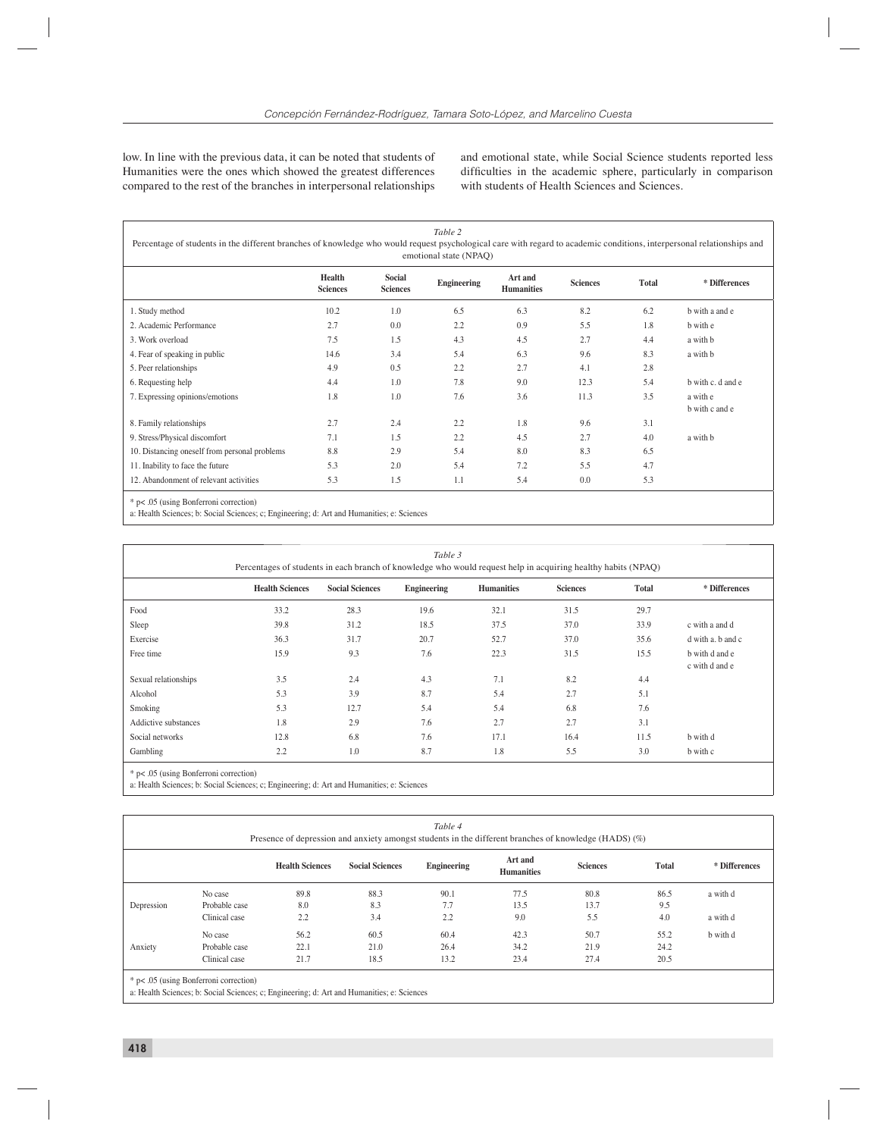low. In line with the previous data, it can be noted that students of Humanities were the ones which showed the greatest differences compared to the rest of the branches in interpersonal relationships

and emotional state, while Social Science students reported less difficulties in the academic sphere, particularly in comparison with students of Health Sciences and Sciences.

| Table 2                                                                                                                                                                |
|------------------------------------------------------------------------------------------------------------------------------------------------------------------------|
| Percentage of students in the different branches of knowledge who would request psychological care with regard to academic conditions, interpersonal relationships and |
| emotional state (NPAO)                                                                                                                                                 |

|                                               | Health<br><b>Sciences</b> | <b>Social</b><br><b>Sciences</b> | Engineering | Art and<br><b>Sciences</b><br><b>Humanities</b> |      | <b>Total</b> | * Differences              |  |  |
|-----------------------------------------------|---------------------------|----------------------------------|-------------|-------------------------------------------------|------|--------------|----------------------------|--|--|
| 1. Study method                               | 10.2                      | 1.0                              | 6.5         | 6.3                                             | 8.2  | 6.2          | b with a and e             |  |  |
| 2. Academic Performance                       | 2.7                       | 0.0                              | 2.2         | 0.9                                             | 5.5  | 1.8          | b with e                   |  |  |
| 3. Work overload                              | 7.5                       | 1.5                              | 4.3         | 4.5                                             | 2.7  | 4.4          | a with b                   |  |  |
| 4. Fear of speaking in public                 | 14.6                      | 3.4                              | 5.4         | 6.3                                             | 9.6  | 8.3          | a with b                   |  |  |
| 5. Peer relationships                         | 4.9                       | 0.5                              | 2.2         | 2.7                                             | 4.1  | 2.8          |                            |  |  |
| 6. Requesting help                            | 4.4                       | 1.0                              | 7.8         | 9.0                                             | 12.3 | 5.4          | b with c. d and e          |  |  |
| 7. Expressing opinions/emotions               | 1.8                       | 1.0                              | 7.6         | 3.6                                             | 11.3 | 3.5          | a with e<br>b with c and e |  |  |
| 8. Family relationships                       | 2.7                       | 2.4                              | 2.2         | 1.8                                             | 9.6  | 3.1          |                            |  |  |
| 9. Stress/Physical discomfort                 | 7.1                       | 1.5                              | 2.2         | 4.5                                             | 2.7  | 4.0          | a with b                   |  |  |
| 10. Distancing oneself from personal problems | 8.8                       | 2.9                              | 5.4         | 8.0                                             | 8.3  | 6.5          |                            |  |  |
| 11. Inability to face the future              | 5.3                       | 2.0                              | 5.4         | 7.2                                             | 5.5  | 4.7          |                            |  |  |
| 12. Abandonment of relevant activities        | 5.3                       | 1.5                              | 1.1         | 5.4                                             | 0.0  | 5.3          |                            |  |  |
| * p< .05 (using Bonferroni correction)        |                           |                                  |             |                                                 |      |              |                            |  |  |

a: Health Sciences; b: Social Sciences; c; Engineering; d: Art and Humanities; e: Sciences

| Table 3<br>Percentages of students in each branch of knowledge who would request help in acquiring healthy habits (NPAQ) |      |      |      |      |      |      |                                  |  |  |  |  |
|--------------------------------------------------------------------------------------------------------------------------|------|------|------|------|------|------|----------------------------------|--|--|--|--|
| <b>Health Sciences</b><br>Engineering<br><b>Sciences</b><br><b>Total</b><br><b>Social Sciences</b><br><b>Humanities</b>  |      |      |      |      |      |      |                                  |  |  |  |  |
| Food                                                                                                                     | 33.2 | 28.3 | 19.6 | 32.1 | 31.5 | 29.7 |                                  |  |  |  |  |
| Sleep                                                                                                                    | 39.8 | 31.2 | 18.5 | 37.5 | 37.0 | 33.9 | c with a and d                   |  |  |  |  |
| Exercise                                                                                                                 | 36.3 | 31.7 | 20.7 | 52.7 | 37.0 | 35.6 | d with a, b and c                |  |  |  |  |
| Free time                                                                                                                | 15.9 | 9.3  | 7.6  | 22.3 | 31.5 | 15.5 | b with d and e<br>c with d and e |  |  |  |  |
| Sexual relationships                                                                                                     | 3.5  | 2.4  | 4.3  | 7.1  | 8.2  | 4.4  |                                  |  |  |  |  |
| Alcohol                                                                                                                  | 5.3  | 3.9  | 8.7  | 5.4  | 2.7  | 5.1  |                                  |  |  |  |  |
| Smoking                                                                                                                  | 5.3  | 12.7 | 5.4  | 5.4  | 6.8  | 7.6  |                                  |  |  |  |  |
| Addictive substances                                                                                                     | 1.8  | 2.9  | 7.6  | 2.7  | 2.7  | 3.1  |                                  |  |  |  |  |
| Social networks                                                                                                          | 12.8 | 6.8  | 7.6  | 17.1 | 16.4 | 11.5 | b with d                         |  |  |  |  |
| Gambling                                                                                                                 | 2.2  | 1.0  | 8.7  | 1.8  | 5.5  | 3.0  | b with c                         |  |  |  |  |

\* p< .05 (using Bonferroni correction)

a: Health Sciences; b: Social Sciences; c; Engineering; d: Art and Humanities; e: Sciences

| Table 4<br>Presence of depression and anxiety amongst students in the different branches of knowledge (HADS) (%) |               |                        |                        |             |                              |                 |       |               |  |  |  |  |
|------------------------------------------------------------------------------------------------------------------|---------------|------------------------|------------------------|-------------|------------------------------|-----------------|-------|---------------|--|--|--|--|
|                                                                                                                  |               | <b>Health Sciences</b> | <b>Social Sciences</b> | Engineering | Art and<br><b>Humanities</b> | <b>Sciences</b> | Total | * Differences |  |  |  |  |
|                                                                                                                  | No case       | 89.8                   | 88.3                   | 90.1        | 77.5                         | 80.8            | 86.5  | a with d      |  |  |  |  |
| Depression                                                                                                       | Probable case | 8.0                    | 8.3                    | 7.7         | 13.5                         | 13.7            | 9.5   |               |  |  |  |  |
|                                                                                                                  | Clinical case | 2.2                    | 3.4                    | 2.2         | 9.0                          | 5.5             | 4.0   | a with d      |  |  |  |  |
|                                                                                                                  | No case       | 56.2                   | 60.5                   | 60.4        | 42.3                         | 50.7            | 55.2  | b with d      |  |  |  |  |
| Anxiety                                                                                                          | Probable case | 22.1                   | 21.0                   | 26.4        | 34.2                         | 21.9            | 24.2  |               |  |  |  |  |
|                                                                                                                  | Clinical case | 21.7                   | 18.5                   | 13.2        | 23.4                         | 27.4            | 20.5  |               |  |  |  |  |

\* p< .05 (using Bonferroni correction)

a: Health Sciences; b: Social Sciences; c; Engineering; d: Art and Humanities; e: Sciences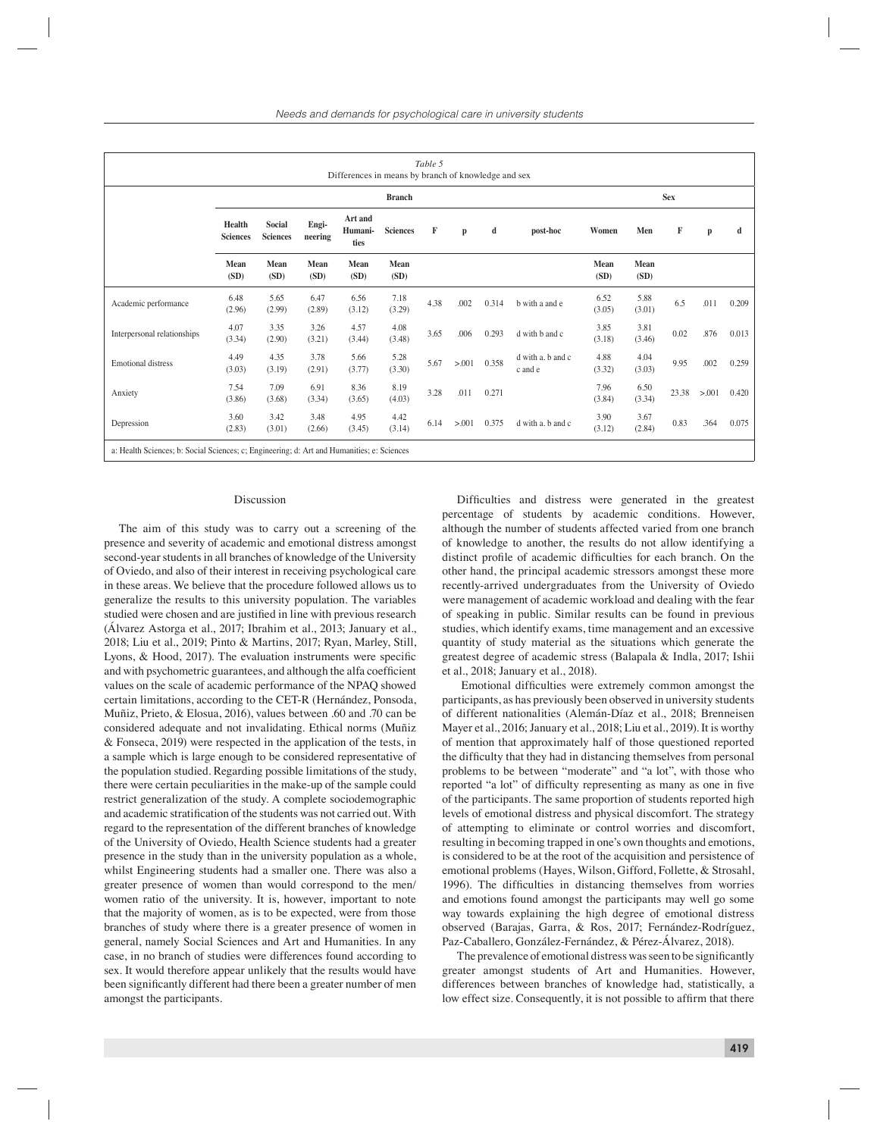| Table 5<br>Differences in means by branch of knowledge and sex                             |                                  |                                  |                  |                            |                 |      |              |       |                              |                |                |            |              |       |  |  |  |
|--------------------------------------------------------------------------------------------|----------------------------------|----------------------------------|------------------|----------------------------|-----------------|------|--------------|-------|------------------------------|----------------|----------------|------------|--------------|-------|--|--|--|
|                                                                                            |                                  | <b>Branch</b>                    |                  |                            |                 |      |              |       |                              |                |                | <b>Sex</b> |              |       |  |  |  |
|                                                                                            | <b>Health</b><br><b>Sciences</b> | <b>Social</b><br><b>Sciences</b> | Engi-<br>neering | Art and<br>Humani-<br>ties | <b>Sciences</b> | F    | $\mathbf{p}$ | d     | post-hoc                     | Women          | Men            | F          | $\mathbf{p}$ | d     |  |  |  |
|                                                                                            | Mean<br>(SD)                     | Mean<br>(SD)                     | Mean<br>(SD)     | Mean<br>(SD)               | Mean<br>(SD)    |      |              |       |                              | Mean<br>(SD)   | Mean<br>(SD)   |            |              |       |  |  |  |
| Academic performance                                                                       | 6.48<br>(2.96)                   | 5.65<br>(2.99)                   | 6.47<br>(2.89)   | 6.56<br>(3.12)             | 7.18<br>(3.29)  | 4.38 | .002         | 0.314 | b with a and e               | 6.52<br>(3.05) | 5.88<br>(3.01) | 6.5        | .011         | 0.209 |  |  |  |
| Interpersonal relationships                                                                | 4.07<br>(3.34)                   | 3.35<br>(2.90)                   | 3.26<br>(3.21)   | 4.57<br>(3.44)             | 4.08<br>(3.48)  | 3.65 | .006         | 0.293 | d with b and c               | 3.85<br>(3.18) | 3.81<br>(3.46) | 0.02       | .876         | 0.013 |  |  |  |
| <b>Emotional distress</b>                                                                  | 4.49<br>(3.03)                   | 4.35<br>(3.19)                   | 3.78<br>(2.91)   | 5.66<br>(3.77)             | 5.28<br>(3.30)  | 5.67 | > 0.001      | 0.358 | d with a. b and c<br>c and e | 4.88<br>(3.32) | 4.04<br>(3.03) | 9.95       | .002         | 0.259 |  |  |  |
| Anxiety                                                                                    | 7.54<br>(3.86)                   | 7.09<br>(3.68)                   | 6.91<br>(3.34)   | 8.36<br>(3.65)             | 8.19<br>(4.03)  | 3.28 | .011         | 0.271 |                              | 7.96<br>(3.84) | 6.50<br>(3.34) | 23.38      | > 0.001      | 0.420 |  |  |  |
| Depression                                                                                 | 3.60<br>(2.83)                   | 3.42<br>(3.01)                   | 3.48<br>(2.66)   | 4.95<br>(3.45)             | 4.42<br>(3.14)  | 6.14 | > 0.001      | 0.375 | d with a. b and c            | 3.90<br>(3.12) | 3.67<br>(2.84) | 0.83       | .364         | 0.075 |  |  |  |
| a: Health Sciences; b: Social Sciences; c; Engineering; d: Art and Humanities; e: Sciences |                                  |                                  |                  |                            |                 |      |              |       |                              |                |                |            |              |       |  |  |  |

### Discussion

The aim of this study was to carry out a screening of the presence and severity of academic and emotional distress amongst second-year students in all branches of knowledge of the University of Oviedo, and also of their interest in receiving psychological care in these areas. We believe that the procedure followed allows us to generalize the results to this university population. The variables studied were chosen and are justified in line with previous research (Álvarez Astorga et al., 2017; Ibrahim et al., 2013; January et al., 2018; Liu et al., 2019; Pinto & Martins, 2017; Ryan, Marley, Still, Lyons,  $\&$  Hood, 2017). The evaluation instruments were specific and with psychometric guarantees, and although the alfa coefficient values on the scale of academic performance of the NPAQ showed certain limitations, according to the CET-R (Hernández, Ponsoda, Muñiz, Prieto, & Elosua, 2016), values between .60 and .70 can be considered adequate and not invalidating. Ethical norms (Muñiz & Fonseca, 2019) were respected in the application of the tests, in a sample which is large enough to be considered representative of the population studied. Regarding possible limitations of the study, there were certain peculiarities in the make-up of the sample could restrict generalization of the study. A complete sociodemographic and academic stratification of the students was not carried out. With regard to the representation of the different branches of knowledge of the University of Oviedo, Health Science students had a greater presence in the study than in the university population as a whole, whilst Engineering students had a smaller one. There was also a greater presence of women than would correspond to the men/ women ratio of the university. It is, however, important to note that the majority of women, as is to be expected, were from those branches of study where there is a greater presence of women in general, namely Social Sciences and Art and Humanities. In any case, in no branch of studies were differences found according to sex. It would therefore appear unlikely that the results would have been significantly different had there been a greater number of men amongst the participants.

Difficulties and distress were generated in the greatest percentage of students by academic conditions. However, although the number of students affected varied from one branch of knowledge to another, the results do not allow identifying a distinct profile of academic difficulties for each branch. On the other hand, the principal academic stressors amongst these more recently-arrived undergraduates from the University of Oviedo were management of academic workload and dealing with the fear of speaking in public. Similar results can be found in previous studies, which identify exams, time management and an excessive quantity of study material as the situations which generate the greatest degree of academic stress (Balapala & Indla, 2017; Ishii et al., 2018; January et al., 2018).

Emotional difficulties were extremely common amongst the participants, as has previously been observed in university students of different nationalities (Alemán-Díaz et al., 2018; Brenneisen Mayer et al., 2016; January et al., 2018; Liu et al., 2019). It is worthy of mention that approximately half of those questioned reported the difficulty that they had in distancing themselves from personal problems to be between "moderate" and "a lot", with those who reported "a lot" of difficulty representing as many as one in five of the participants. The same proportion of students reported high levels of emotional distress and physical discomfort. The strategy of attempting to eliminate or control worries and discomfort, resulting in becoming trapped in one's own thoughts and emotions, is considered to be at the root of the acquisition and persistence of emotional problems (Hayes, Wilson, Gifford, Follette, & Strosahl, 1996). The difficulties in distancing themselves from worries and emotions found amongst the participants may well go some way towards explaining the high degree of emotional distress observed (Barajas, Garra, & Ros, 2017; Fernández-Rodríguez, Paz-Caballero, González-Fernández, & Pérez-Álvarez, 2018).

The prevalence of emotional distress was seen to be significantly greater amongst students of Art and Humanities. However, differences between branches of knowledge had, statistically, a low effect size. Consequently, it is not possible to affirm that there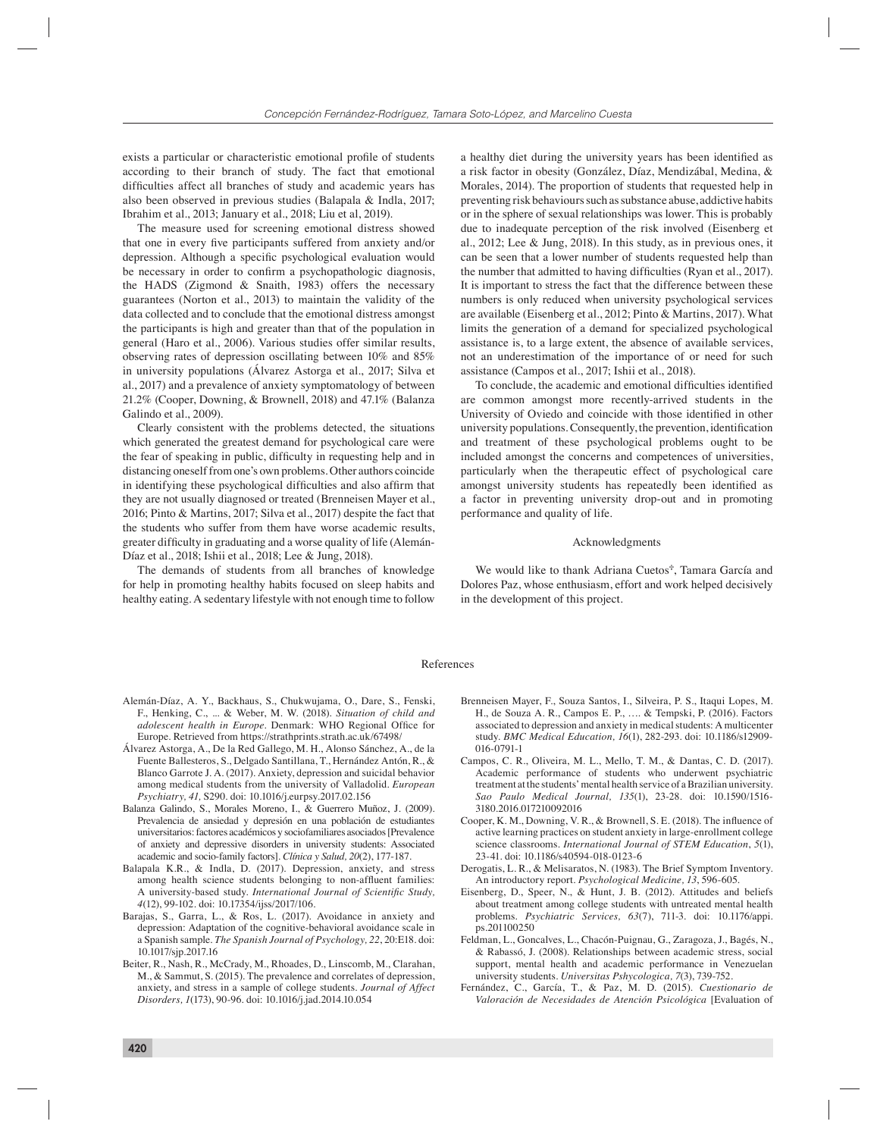exists a particular or characteristic emotional profile of students according to their branch of study. The fact that emotional difficulties affect all branches of study and academic years has also been observed in previous studies (Balapala & Indla, 2017; Ibrahim et al., 2013; January et al., 2018; Liu et al, 2019).

The measure used for screening emotional distress showed that one in every five participants suffered from anxiety and/or depression. Although a specific psychological evaluation would be necessary in order to confirm a psychopathologic diagnosis, the HADS (Zigmond & Snaith, 1983) offers the necessary guarantees (Norton et al., 2013) to maintain the validity of the data collected and to conclude that the emotional distress amongst the participants is high and greater than that of the population in general (Haro et al., 2006). Various studies offer similar results, observing rates of depression oscillating between 10% and 85% in university populations (Álvarez Astorga et al., 2017; Silva et al., 2017) and a prevalence of anxiety symptomatology of between 21.2% (Cooper, Downing, & Brownell, 2018) and 47.1% (Balanza Galindo et al., 2009).

Clearly consistent with the problems detected, the situations which generated the greatest demand for psychological care were the fear of speaking in public, difficulty in requesting help and in distancing oneself from one's own problems. Other authors coincide in identifying these psychological difficulties and also affirm that they are not usually diagnosed or treated (Brenneisen Mayer et al., 2016; Pinto & Martins, 2017; Silva et al., 2017) despite the fact that the students who suffer from them have worse academic results, greater difficulty in graduating and a worse quality of life (Alemán-Díaz et al., 2018; Ishii et al., 2018; Lee & Jung, 2018).

The demands of students from all branches of knowledge for help in promoting healthy habits focused on sleep habits and healthy eating. A sedentary lifestyle with not enough time to follow

a healthy diet during the university years has been identified as a risk factor in obesity (González, Díaz, Mendizábal, Medina, & Morales, 2014). The proportion of students that requested help in preventing risk behaviours such as substance abuse, addictive habits or in the sphere of sexual relationships was lower. This is probably due to inadequate perception of the risk involved (Eisenberg et al., 2012; Lee & Jung, 2018). In this study, as in previous ones, it can be seen that a lower number of students requested help than the number that admitted to having difficulties (Ryan et al., 2017). It is important to stress the fact that the difference between these numbers is only reduced when university psychological services are available (Eisenberg et al., 2012; Pinto & Martins, 2017). What limits the generation of a demand for specialized psychological assistance is, to a large extent, the absence of available services, not an underestimation of the importance of or need for such assistance (Campos et al., 2017; Ishii et al., 2018).

To conclude, the academic and emotional difficulties identified are common amongst more recently-arrived students in the University of Oviedo and coincide with those identified in other university populations. Consequently, the prevention, identification and treatment of these psychological problems ought to be included amongst the concerns and competences of universities, particularly when the therapeutic effect of psychological care amongst university students has repeatedly been identified as a factor in preventing university drop-out and in promoting performance and quality of life.

#### Acknowledgments

We would like to thank Adriana Cuetos<sup>®</sup>, Tamara García and Dolores Paz, whose enthusiasm, effort and work helped decisively in the development of this project.

#### References

- Alemán-Díaz, A. Y., Backhaus, S., Chukwujama, O., Dare, S., Fenski, F., Henking, C., ... & Weber, M. W. (2018). *Situation of child and adolescent health in Europe*. Denmark: WHO Regional Office for Europe. Retrieved from https://strathprints.strath.ac.uk/67498/
- Álvarez Astorga, A., De la Red Gallego, M. H., Alonso Sánchez, A., de la Fuente Ballesteros, S., Delgado Santillana, T., Hernández Antón, R., & Blanco Garrote J. A. (2017). Anxiety, depression and suicidal behavior among medical students from the university of Valladolid. *European Psychiatry, 41,* S290. doi: 10.1016/j.eurpsy.2017.02.156
- Balanza Galindo, S., Morales Moreno, I., & Guerrero Muñoz, J. (2009). Prevalencia de ansiedad y depresión en una población de estudiantes universitarios: factores académicos y sociofamiliares asociados [Prevalence of anxiety and depressive disorders in university students: Associated academic and socio-family factors]. *Clínica y Salud, 20*(2), 177-187.
- Balapala K.R., & Indla, D. (2017). Depression, anxiety, and stress among health science students belonging to non-affluent families: A university-based study. *International Journal of Scientific Study*, *4*(12), 99-102. doi: 10.17354/ijss/2017/106.
- Barajas, S., Garra, L., & Ros, L. (2017). Avoidance in anxiety and depression: Adaptation of the cognitive-behavioral avoidance scale in a Spanish sample. *The Spanish Journal of Psychology, 22*, 20:E18. doi: 10.1017/sjp.2017.16
- Beiter, R., Nash, R., McCrady, M., Rhoades, D., Linscomb, M., Clarahan, M., & Sammut, S. (2015). The prevalence and correlates of depression, anxiety, and stress in a sample of college students. *Journal of Affect Disorders, 1*(173), 90-96. doi: 10.1016/j.jad.2014.10.054
- Brenneisen Mayer, F., Souza Santos, I., Silveira, P. S., Itaqui Lopes, M. H., de Souza A. R., Campos E. P., …. & Tempski, P. (2016). Factors associated to depression and anxiety in medical students: A multicenter study. *BMC Medical Education, 16*(1), 282-293. doi: 10.1186/s12909- 016-0791-1
- Campos, C. R., Oliveira, M. L., Mello, T. M., & Dantas, C. D. (2017). Academic performance of students who underwent psychiatric treatment at the students' mental health service of a Brazilian university. *Sao Paulo Medical Journal, 135*(1), 23-28. doi: 10.1590/1516- 3180.2016.017210092016
- Cooper, K. M., Downing, V. R., & Brownell, S. E. (2018). The influence of active learning practices on student anxiety in large-enrollment college science classrooms. *International Journal of STEM Education*, *5*(1), 23-41. doi: 10.1186/s40594-018-0123-6
- Derogatis, L. R., & Melisaratos, N. (1983). The Brief Symptom Inventory. An introductory report. *Psychological Medicine, 13*, 596-605.
- Eisenberg, D., Speer, N., & Hunt, J. B. (2012). Attitudes and beliefs about treatment among college students with untreated mental health problems. *Psychiatric Services, 63*(7), 711-3. doi: 10.1176/appi. ps.201100250
- Feldman, L., Goncalves, L., Chacón-Puignau, G., Zaragoza, J., Bagés, N., & Rabassó, J. (2008). Relationships between academic stress, social support, mental health and academic performance in Venezuelan university students. *Universitas Pshycologica, 7*(3), 739-752.
- Fernández, C., García, T., & Paz, M. D. (2015). *Cuestionario de Valoración de Necesidades de Atención Psicológica* [Evaluation of